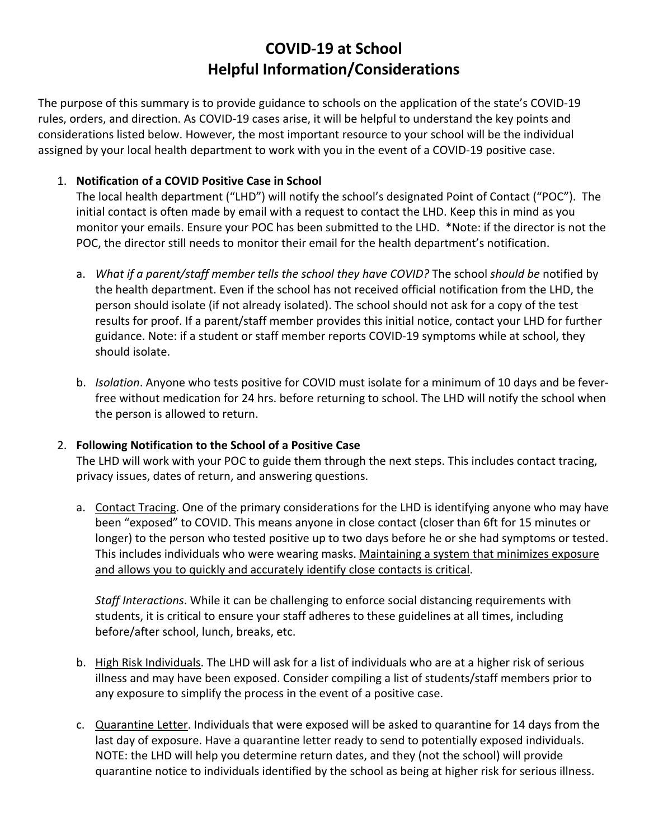# **COVID-19 at School Helpful Information/Considerations**

The purpose of this summary is to provide guidance to schools on the application of the state's COVID-19 rules, orders, and direction. As COVID-19 cases arise, it will be helpful to understand the key points and considerations listed below. However, the most important resource to your school will be the individual assigned by your local health department to work with you in the event of a COVID-19 positive case.

# 1. **Notification of a COVID Positive Case in School**

The local health department ("LHD") will notify the school's designated Point of Contact ("POC"). The initial contact is often made by email with a request to contact the LHD. Keep this in mind as you monitor your emails. Ensure your POC has been submitted to the LHD. \*Note: if the director is not the POC, the director still needs to monitor their email for the health department's notification.

- a. *What if a parent/staff member tells the school they have COVID?* The school *should be* notified by the health department. Even if the school has not received official notification from the LHD, the person should isolate (if not already isolated). The school should not ask for a copy of the test results for proof. If a parent/staff member provides this initial notice, contact your LHD for further guidance. Note: if a student or staff member reports COVID-19 symptoms while at school, they should isolate.
- b. *Isolation*. Anyone who tests positive for COVID must isolate for a minimum of 10 days and be feverfree without medication for 24 hrs. before returning to school. The LHD will notify the school when the person is allowed to return.

## 2. **Following Notification to the School of a Positive Case**

The LHD will work with your POC to guide them through the next steps. This includes contact tracing, privacy issues, dates of return, and answering questions.

a. Contact Tracing. One of the primary considerations for the LHD is identifying anyone who may have been "exposed" to COVID. This means anyone in close contact (closer than 6ft for 15 minutes or longer) to the person who tested positive up to two days before he or she had symptoms or tested. This includes individuals who were wearing masks. Maintaining a system that minimizes exposure and allows you to quickly and accurately identify close contacts is critical.

*Staff Interactions*. While it can be challenging to enforce social distancing requirements with students, it is critical to ensure your staff adheres to these guidelines at all times, including before/after school, lunch, breaks, etc.

- b. High Risk Individuals. The LHD will ask for a list of individuals who are at a higher risk of serious illness and may have been exposed. Consider compiling a list of students/staff members prior to any exposure to simplify the process in the event of a positive case.
- c. Quarantine Letter. Individuals that were exposed will be asked to quarantine for 14 days from the last day of exposure. Have a quarantine letter ready to send to potentially exposed individuals. NOTE: the LHD will help you determine return dates, and they (not the school) will provide quarantine notice to individuals identified by the school as being at higher risk for serious illness.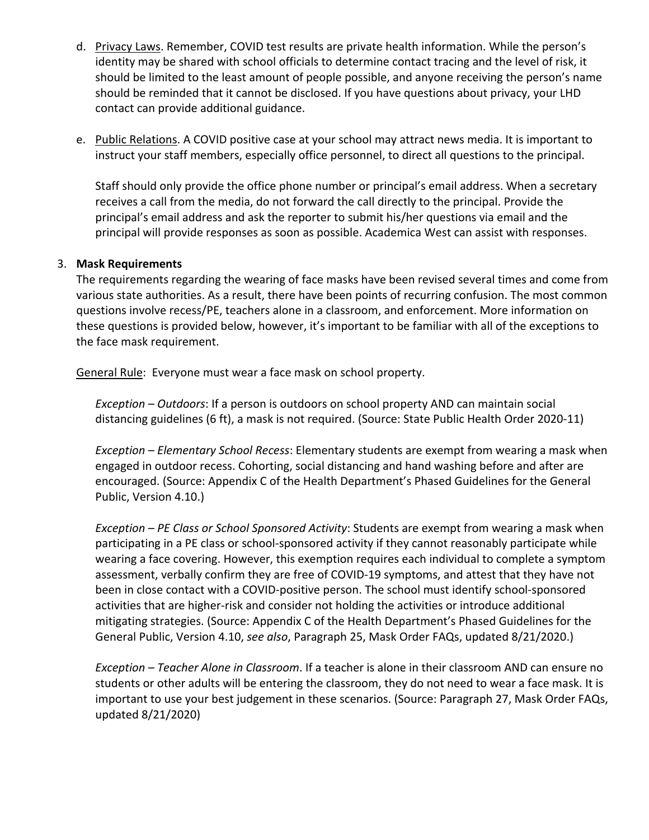- d. Privacy Laws. Remember, COVID test results are private health information. While the person's identity may be shared with school officials to determine contact tracing and the level of risk, it should be limited to the least amount of people possible, and anyone receiving the person's name should be reminded that it cannot be disclosed. If you have questions about privacy, your LHD contact can provide additional guidance.
- e. Public Relations. A COVID positive case at your school may attract news media. It is important to instruct your staff members, especially office personnel, to direct all questions to the principal.

Staff should only provide the office phone number or principal's email address. When a secretary receives a call from the media, do not forward the call directly to the principal. Provide the principal's email address and ask the reporter to submit his/her questions via email and the principal will provide responses as soon as possible. Academica West can assist with responses.

#### 3. **Mask Requirements**

The requirements regarding the wearing of face masks have been revised several times and come from various state authorities. As a result, there have been points of recurring confusion. The most common questions involve recess/PE, teachers alone in a classroom, and enforcement. More information on these questions is provided below, however, it's important to be familiar with all of the exceptions to the face mask requirement.

General Rule: Everyone must wear a face mask on school property.

*Exception – Outdoors*: If a person is outdoors on school property AND can maintain social distancing guidelines (6 ft), a mask is not required. (Source: State Public Health Order 2020-11)

*Exception – Elementary School Recess*: Elementary students are exempt from wearing a mask when engaged in outdoor recess. Cohorting, social distancing and hand washing before and after are encouraged. (Source: Appendix C of the Health Department's Phased Guidelines for the General Public, Version 4.10.)

*Exception – PE Class or School Sponsored Activity*: Students are exempt from wearing a mask when participating in a PE class or school-sponsored activity if they cannot reasonably participate while wearing a face covering. However, this exemption requires each individual to complete a symptom assessment, verbally confirm they are free of COVID-19 symptoms, and attest that they have not been in close contact with a COVID-positive person. The school must identify school-sponsored activities that are higher-risk and consider not holding the activities or introduce additional mitigating strategies. (Source: Appendix C of the Health Department's Phased Guidelines for the General Public, Version 4.10, *see also*, Paragraph 25, Mask Order FAQs, updated 8/21/2020.)

*Exception – Teacher Alone in Classroom*. If a teacher is alone in their classroom AND can ensure no students or other adults will be entering the classroom, they do not need to wear a face mask. It is important to use your best judgement in these scenarios. (Source: Paragraph 27, Mask Order FAQs, updated 8/21/2020)